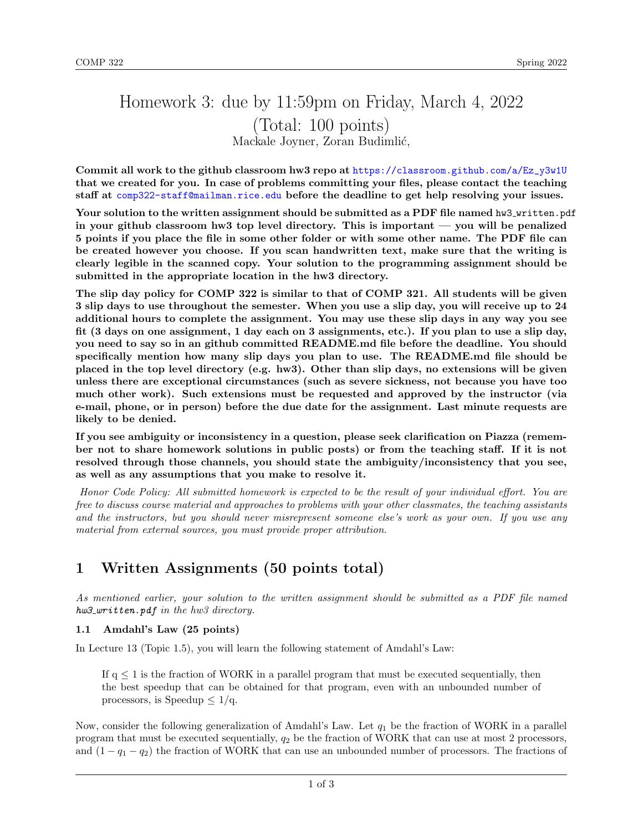# Homework 3: due by 11:59pm on Friday, March 4, 2022 (Total: 100 points) Mackale Joyner, Zoran Budimlić,

Commit all work to the github classroom hw3 repo at [https://classroom.github.com/a/Ez\\_y3w1U](https://classroom.github.com/a/Ez_y3w1U) that we created for you. In case of problems committing your files, please contact the teaching staff at <comp322-staff@mailman.rice.edu> before the deadline to get help resolving your issues.

Your solution to the written assignment should be submitted as a PDF file named hw3\_written.pdf in your github classroom hw3 top level directory. This is important — you will be penalized 5 points if you place the file in some other folder or with some other name. The PDF file can be created however you choose. If you scan handwritten text, make sure that the writing is clearly legible in the scanned copy. Your solution to the programming assignment should be submitted in the appropriate location in the hw3 directory.

The slip day policy for COMP 322 is similar to that of COMP 321. All students will be given 3 slip days to use throughout the semester. When you use a slip day, you will receive up to 24 additional hours to complete the assignment. You may use these slip days in any way you see fit (3 days on one assignment, 1 day each on 3 assignments, etc.). If you plan to use a slip day, you need to say so in an github committed README.md file before the deadline. You should specifically mention how many slip days you plan to use. The README.md file should be placed in the top level directory (e.g. hw3). Other than slip days, no extensions will be given unless there are exceptional circumstances (such as severe sickness, not because you have too much other work). Such extensions must be requested and approved by the instructor (via e-mail, phone, or in person) before the due date for the assignment. Last minute requests are likely to be denied.

If you see ambiguity or inconsistency in a question, please seek clarification on Piazza (remember not to share homework solutions in public posts) or from the teaching staff. If it is not resolved through those channels, you should state the ambiguity/inconsistency that you see, as well as any assumptions that you make to resolve it.

Honor Code Policy: All submitted homework is expected to be the result of your individual effort. You are free to discuss course material and approaches to problems with your other classmates, the teaching assistants and the instructors, but you should never misrepresent someone else's work as your own. If you use any material from external sources, you must provide proper attribution.

## 1 Written Assignments (50 points total)

As mentioned earlier, your solution to the written assignment should be submitted as a PDF file named  $hw3$ -written.pdf in the hw3 directory.

### 1.1 Amdahl's Law (25 points)

In Lecture 13 (Topic 1.5), you will learn the following statement of Amdahl's Law:

If  $q \leq 1$  is the fraction of WORK in a parallel program that must be executed sequentially, then the best speedup that can be obtained for that program, even with an unbounded number of processors, is Speedup  $\leq 1/q$ .

Now, consider the following generalization of Amdahl's Law. Let  $q_1$  be the fraction of WORK in a parallel program that must be executed sequentially,  $q_2$  be the fraction of WORK that can use at most 2 processors, and  $(1 - q_1 - q_2)$  the fraction of WORK that can use an unbounded number of processors. The fractions of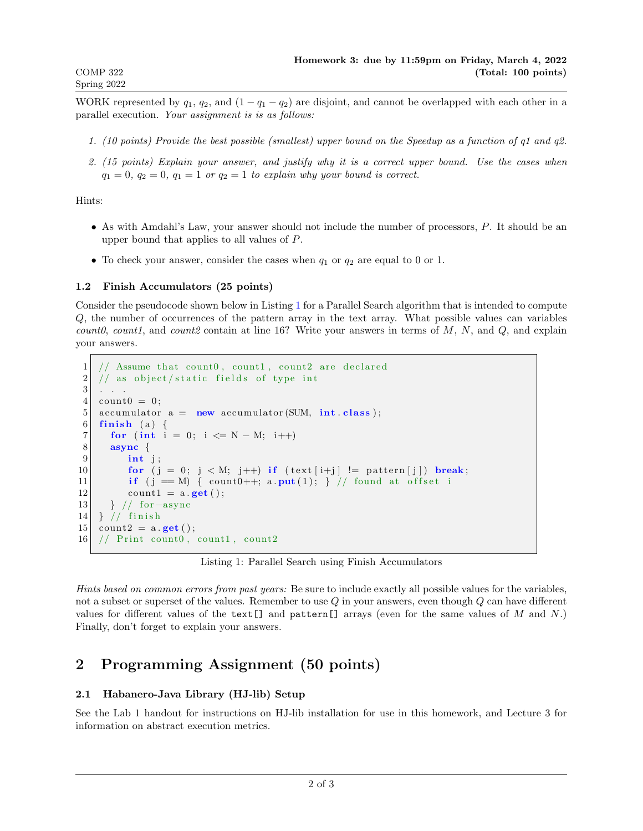WORK represented by  $q_1, q_2$ , and  $(1 - q_1 - q_2)$  are disjoint, and cannot be overlapped with each other in a parallel execution. Your assignment is is as follows:

- 1. (10 points) Provide the best possible (smallest) upper bound on the Speedup as a function of q1 and q2.
- 2. (15 points) Explain your answer, and justify why it is a correct upper bound. Use the cases when  $q_1 = 0$ ,  $q_2 = 0$ ,  $q_1 = 1$  or  $q_2 = 1$  to explain why your bound is correct.

Hints:

- As with Amdahl's Law, your answer should not include the number of processors, P. It should be an upper bound that applies to all values of P.
- To check your answer, consider the cases when  $q_1$  or  $q_2$  are equal to 0 or 1.

#### 1.2 Finish Accumulators (25 points)

Consider the pseudocode shown below in Listing [1](#page-1-0) for a Parallel Search algorithm that is intended to compute Q, the number of occurrences of the pattern array in the text array. What possible values can variables count0, count1, and count2 contain at line 16? Write your answers in terms of  $M$ ,  $N$ , and  $Q$ , and explain your answers.

```
1 \mid // Assume that count0, count1, count2 are declared
2 \mid // as object/static fields of type int
3 . . .
4 count0 = 0;
5 accumulator a = new accumulator (SUM, int class);
6 finish (a) {
7 for (int i = 0; i <= N - M; i++)
8 async {
9 int j;
10 for (j = 0; j < M; j++) if (text[i+j] != pattern [j]) break;
11 if (j == M) { count0++; a. put (1); } // found at offset i
12 count 1 = a \cdot get ();
13 } // for -async
14 } // finish
15 count 2 = a \cdot get();
16 // Print count0, count1, count2
```
Listing 1: Parallel Search using Finish Accumulators

Hints based on common errors from past years: Be sure to include exactly all possible values for the variables, not a subset or superset of the values. Remember to use  $Q$  in your answers, even though  $Q$  can have different values for different values of the text [] and pattern [] arrays (even for the same values of M and N.) Finally, don't forget to explain your answers.

### 2 Programming Assignment (50 points)

### 2.1 Habanero-Java Library (HJ-lib) Setup

See the Lab 1 handout for instructions on HJ-lib installation for use in this homework, and Lecture 3 for information on abstract execution metrics.